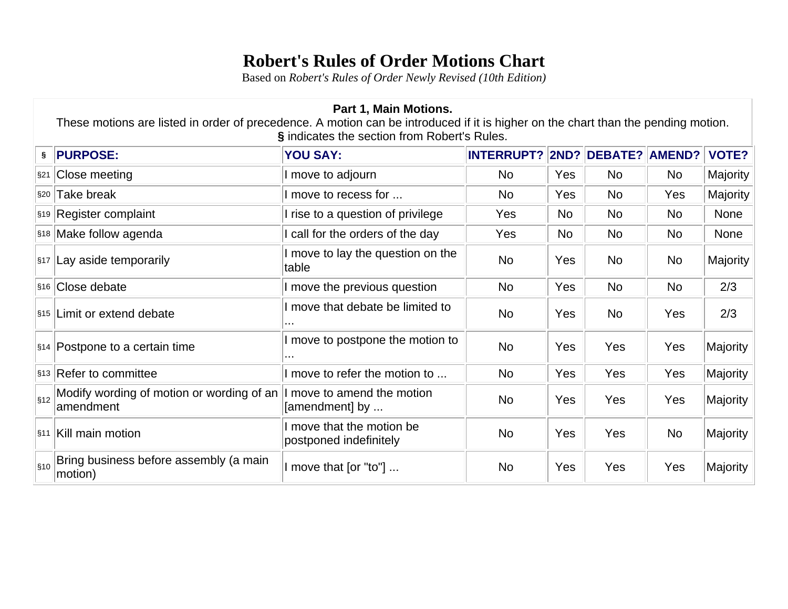## **Robert's Rules of Order Motions Chart**

Based on *Robert's Rules of Order Newly Revised (10th Edition)*

| Part 1, Main Motions.<br>These motions are listed in order of precedence. A motion can be introduced if it is higher on the chart than the pending motion.<br>§ indicates the section from Robert's Rules. |                                                        |                                                   |                                |                |            |     |                 |  |
|------------------------------------------------------------------------------------------------------------------------------------------------------------------------------------------------------------|--------------------------------------------------------|---------------------------------------------------|--------------------------------|----------------|------------|-----|-----------------|--|
| §.                                                                                                                                                                                                         | <b>PURPOSE:</b>                                        | <b>YOU SAY:</b>                                   | INTERRUPT? 2ND? DEBATE? AMEND? |                |            |     | <b>VOTE?</b>    |  |
| $\S21$                                                                                                                                                                                                     | Close meeting                                          | I move to adjourn                                 | No.                            | Yes            | <b>No</b>  | No. | <b>Majority</b> |  |
| §20                                                                                                                                                                                                        | Take break                                             | I move to recess for                              | <b>No</b>                      | Yes            | No.        | Yes | Majority        |  |
|                                                                                                                                                                                                            | \$19 Register complaint                                | I rise to a question of privilege                 | Yes                            | N <sub>o</sub> | No         | No. | None            |  |
|                                                                                                                                                                                                            | \$18 Make follow agenda                                | call for the orders of the day                    | Yes                            | <b>No</b>      | No         | No  | <b>None</b>     |  |
| $\sqrt{\$17}$                                                                                                                                                                                              | Lay aside temporarily                                  | I move to lay the question on the<br>table        | <b>No</b>                      | Yes            | No         | No  | <b>Majority</b> |  |
| $\frac{1}{3}$ 16                                                                                                                                                                                           | Close debate                                           | I move the previous question                      | <b>No</b>                      | Yes            | No         | No. | 2/3             |  |
|                                                                                                                                                                                                            | S <sub>15</sub> Limit or extend debate                 | I move that debate be limited to                  | No                             | Yes            | <b>No</b>  | Yes | 2/3             |  |
|                                                                                                                                                                                                            | \$14 Postpone to a certain time                        | I move to postpone the motion to<br>$\cdots$      | No                             | Yes            | Yes        | Yes | Majority        |  |
|                                                                                                                                                                                                            | \$13 Refer to committee                                | I move to refer the motion to                     | <b>No</b>                      | Yes            | Yes        | Yes | Majority        |  |
| $\vert$ §12                                                                                                                                                                                                | Modify wording of motion or wording of an<br>amendment | I move to amend the motion<br>[amendment] by      | No                             | Yes            | Yes        | Yes | <b>Majority</b> |  |
| $ \S11$                                                                                                                                                                                                    | Kill main motion                                       | move that the motion be<br>postponed indefinitely | <b>No</b>                      | Yes            | <b>Yes</b> | No  | <b>Majority</b> |  |
| $\vert$ §10                                                                                                                                                                                                | Bring business before assembly (a main<br>motion)      | I move that [or "to"]                             | <b>No</b>                      | Yes            | Yes        | Yes | Majority        |  |